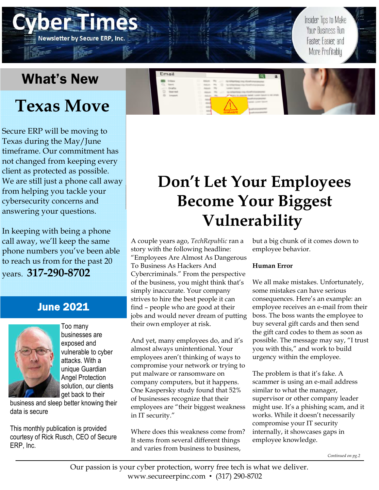## What's New

**Newsletter by Secure ERP, Inc** 

# **Texas Move**

Secure ERP will be moving to Texas during the May/June timeframe. Our commitment has not changed from keeping every client as protected as possible. We are still just a phone call away from helping you tackle your cybersecurity concerns and answering your questions.

In keeping with being a phone call away, we'll keep the same phone numbers you've been able to reach us from for the past 20 years. **317-290-8702**

### June 2021



Too many businesses are exyosed and vulnerable to cyber attacks. With a unique Guardian Angel Protection solution, our clients get back to their

business and sleey better knowing their data is secure

This monthly publication is provided courtesy of Rick Rusch, CEO of Secure ERP, Inc.

# **Don't Let Your Employees Become Your Biggest Vulnerability**

A couple years ago, *TechRepublic* ran a story with the following headline: "Employees Are Almost As Dangerous To Business As Hackers And Cybercriminals." From the perspective of the business, you might think that's simply inaccurate. Your company strives to hire the best people it can find – people who are good at their jobs and would never dream of putting their own employer at risk.

Email

And yet, many employees do, and it's almost always unintentional. Your employees aren't thinking of ways to compromise your network or trying to put malware or ransomware on company computers, but it happens. One Kaspersky study found that 52% of businesses recognize that their employees are "their biggest weakness in IT security."

Where does this weakness come from? It stems from several different things and varies from business to business,

but a big chunk of it comes down to employee behavior.

Insider Tips to Make Your Business Run

Faster, Easier, and More Profitably

#### **Human Error**

We all make mistakes. Unfortunately, some mistakes can have serious consequences. Here's an example: an employee receives an e-mail from their boss. The boss wants the employee to buy several gift cards and then send the gift card codes to them as soon as possible. The message may say, "I trust you with this," and work to build urgency within the employee.

The problem is that it's fake. A scammer is using an e-mail address similar to what the manager, supervisor or other company leader might use. It's a phishing scam, and it works. While it doesn't necessarily compromise your IT security internally, it showcases gaps in employee knowledge.

Continued on pg.2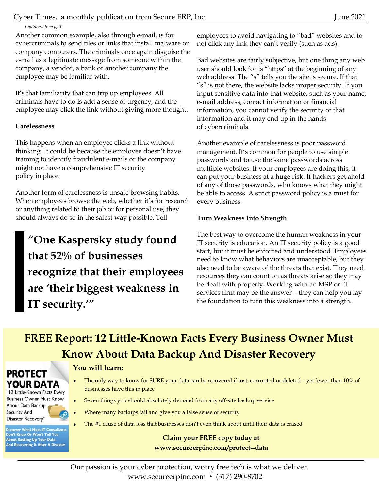Cyber Times, a monthly publication from Secure ERP, Inc. June 2021

Continued from pg.1

Another common example, also through e-mail, is for cybercriminals to send files or links that install malware on company computers. The criminals once again disguise the e-mail as a legitimate message from someone within the company, a vendor, a bank or another company the employee may be familiar with.

It's that familiarity that can trip up employees. All criminals have to do is add a sense of urgency, and the employee may click the link without giving more thought.

#### **Carelessness**

This happens when an employee clicks a link without thinking. It could be because the employee doesn't have training to identify fraudulent e-mails or the company might not have a comprehensive IT security policy in place.

Another form of carelessness is unsafe browsing habits. When employees browse the web, whether it's for research or anything related to their job or for personal use, they should always do so in the safest way possible. Tell

**"One Kaspersky study found that 52% of businesses recognize that their employees are 'their biggest weakness in IT security.'"** 

employees to avoid navigating to "bad" websites and to not click any link they can't verify (such as ads).

Bad websites are fairly subjective, but one thing any web user should look for is "https" at the beginning of any web address. The "s" tells you the site is secure. If that "s" is not there, the website lacks proper security. If you input sensitive data into that website, such as your name, e-mail address, contact information or financial information, you cannot verify the security of that information and it may end up in the hands of cybercriminals.

Another example of carelessness is poor password management. It's common for people to use simple passwords and to use the same passwords across multiple websites. If your employees are doing this, it can put your business at a huge risk. If hackers get ahold of any of those passwords, who knows what they might be able to access. A strict password policy is a must for every business.

#### **Turn Weakness Into Strength**

The best way to overcome the human weakness in your IT security is education. An IT security policy is a good start, but it must be enforced and understood. Employees need to know what behaviors are unacceptable, but they also need to be aware of the threats that exist. They need resources they can count on as threats arise so they may be dealt with properly. Working with an MSP or IT services firm may be the answer – they can help you lay the foundation to turn this weakness into a strength.

### **FREE Report: 12 Little-Known Facts Every Business Owner Must Know About Data Backup And Disaster Recovery**

### **PROTECT** YOUR DATA

"12 Little-Known Facts Every **Business Owner Must Know** About Data Backup, Security And Disaster Recovery'

**Discover What Most IT Consultants Don't Know Or Won't Tell You<br>About Backing Up Your Data And Recovering It After A Disaster** 

### **You will learn:**

- The only way to know for SURE your data can be recovered if lost, corrupted or deleted yet fewer than 10% of businesses have this in place
- Seven things you should absolutely demand from any off-site backup service
- Where many backups fail and give you a false sense of security
- The #1 cause of data loss that businesses don't even think about until their data is erased

### **Claim your FREE copy today at www.secureerpinc.com/protect--data**

Our passion is your cyber protection, worry free tech is what we deliver. www.secureerpinc.com • (317) 290-8702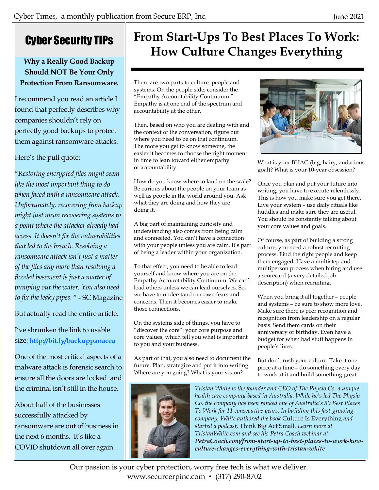### Cyber Security TIPs

### **Why a Really Good Backup Should NOT Be Your Only Protection From Ransomware.**

I recommend you read an article I found that perfectly describes why companies shouldn't rely on perfectly good backups to protect them against ransomware attacks.

### Here's the pull quote:

"*Restoripg epcrypteu files might seem like the most important thing to do* when faced with a ransomware attack. *Upfortupately, recoveripg from backup might just meap recoveripg systems to a poipt where the attacker alreauy hau*   $access.$  It doesn't fix the vulnerabilities *that leu to the breach. Resolvipg a rapsomware attack isp't just a matter of the files any more than resolving a flooded basement is just a matter of pumpipg out the water. You also peeu to fix the leaky pipes.* " - SC Magazine

But actually read the entire article.

I've shrunken the link to usable size: **http://bit.ly/backuppanacea**

One of the most critical aspects of a malware attack is forensic search to ensure all the doors are locked and the criminal isn't still in the house.

About half of the businesses successfully attacked by ransomware are out of business in the next 6 months. It's like a COVID shutdown all over again.

## **From Start-Ups To Best Places To Work: How Culture Changes Everything**

There are two parts to culture: people and systems. On the people side, consider the "Empathy Accountability Continuum." Empathy is at one end of the spectrum and accountability at the other.

Then, based on who you are dealing with and the context of the conversation, figure out where you need to be on that continuum. The more you get to know someone, the easier it becomes to choose the right moment in time to lean toward either empathy or accountability.

How do you know where to land on the scale? Be curious about the people on your team as well as people in the world around you. Ask what they are doing and how they are doing it.

A big part of maintaining curiosity and understanding also comes from being calm and connected. You can't have a connection with your people unless you are calm. It's part of being a leader within your organization.

To that effect, you need to be able to lead yourself and know where you are on the Empathy Accountability Continuum. We can't lead others unless we can lead ourselves. So, we have to understand our own fears and concerns. Then it becomes easier to make those connections.

On the systems side of things, you have to "discover the core": your core purpose and core values, which tell you what is important to you and your business.

As part of that, you also need to document the future. Plan, strategize and put it into writing. Where are you going? What is your vision?





What is your BHAG (big, hairy, audacious goal)? What is your 10-year obsession?

Once you plan and put your future into writing, you have to execute relentlessly. This is how you make sure you get there. Live your system – use daily rituals like huddles and make sure they are useful. You should be constantly talking about your core values and goals.

Of course, as part of building a strong culture, you need a robust recruiting process. Find the right people and keep them engaged. Have a multistep and multiperson process when hiring and use a scorecard (a very detailed job description) when recruiting.

When you bring it all together – people and systems – be sure to show more love. Make sure there is peer recognition and recognition from leadership on a regular basis. Send them cards on their anniversary or birthday. Even have a budget for when bad stuff happens in people's lives.

But don't rush your culture. Take it one piece at a time – do something every day to work at it and build something great.

*Tristan White is the founder and CEO of The Physio Co, a unique health care company based in Australia. While he's led The Physio Co, the company has been ranked one of Australia's 50 Best Places* To Work for 11 consecutive years. In building this fast-growing *company, White authored the book Culture Is Everything and starteu a poucast,* Think Big Act Small*. Learp more at TristapWhite.com apu see his Petra Coach webipar at PetraCoach.com/from-start-up-to-best-places-to-work-howculture-changes-everything-with-tristan-white*

Our passion is your cyber protection, worry free tech is what we deliver. www.secureerpinc.com • (317) 290-8702